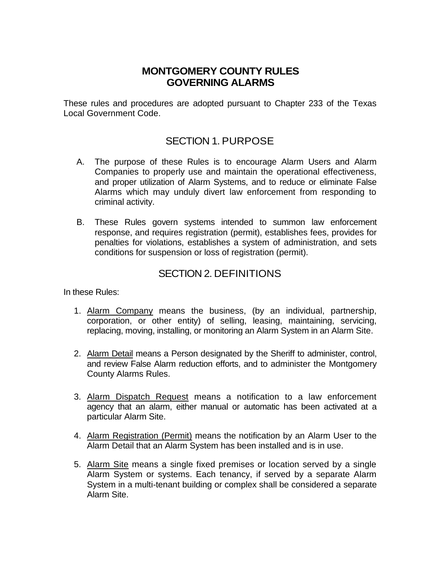## **MONTGOMERY COUNTY RULES GOVERNING ALARMS**

These rules and procedures are adopted pursuant to Chapter 233 of the Texas Local Government Code.

### SECTION 1. PURPOSE

- A. The purpose of these Rules is to encourage Alarm Users and Alarm Companies to properly use and maintain the operational effectiveness, and proper utilization of Alarm Systems, and to reduce or eliminate False Alarms which may unduly divert law enforcement from responding to criminal activity.
- B. These Rules govern systems intended to summon law enforcement response, and requires registration (permit), establishes fees, provides for penalties for violations, establishes a system of administration, and sets conditions for suspension or loss of registration (permit).

## SECTION 2. DEFINITIONS

In these Rules:

- 1. Alarm Company means the business, (by an individual, partnership, corporation, or other entity) of selling, leasing, maintaining, servicing, replacing, moving, installing, or monitoring an Alarm System in an Alarm Site.
- 2. Alarm Detail means a Person designated by the Sheriff to administer, control, and review False Alarm reduction efforts, and to administer the Montgomery County Alarms Rules.
- 3. Alarm Dispatch Request means a notification to a law enforcement agency that an alarm, either manual or automatic has been activated at a particular Alarm Site.
- 4. Alarm Registration (Permit) means the notification by an Alarm User to the Alarm Detail that an Alarm System has been installed and is in use.
- 5. Alarm Site means a single fixed premises or location served by a single Alarm System or systems. Each tenancy, if served by a separate Alarm System in a multi-tenant building or complex shall be considered a separate Alarm Site.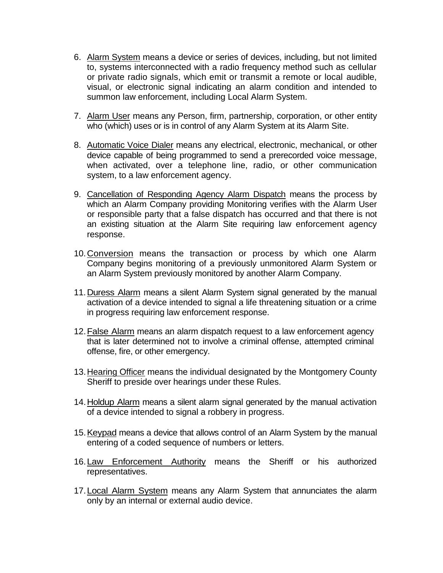- 6. Alarm System means a device or series of devices, including, but not limited to, systems interconnected with a radio frequency method such as cellular or private radio signals, which emit or transmit a remote or local audible, visual, or electronic signal indicating an alarm condition and intended to summon law enforcement, including Local Alarm System.
- 7. Alarm User means any Person, firm, partnership, corporation, or other entity who (which) uses or is in control of any Alarm System at its Alarm Site.
- 8. Automatic Voice Dialer means any electrical, electronic, mechanical, or other device capable of being programmed to send a prerecorded voice message, when activated, over a telephone line, radio, or other communication system, to a law enforcement agency.
- 9. Cancellation of Responding Agency Alarm Dispatch means the process by which an Alarm Company providing Monitoring verifies with the Alarm User or responsible party that a false dispatch has occurred and that there is not an existing situation at the Alarm Site requiring law enforcement agency response.
- 10.Conversion means the transaction or process by which one Alarm Company begins monitoring of a previously unmonitored Alarm System or an Alarm System previously monitored by another Alarm Company.
- 11.Duress Alarm means a silent Alarm System signal generated by the manual activation of a device intended to signal a life threatening situation or a crime in progress requiring law enforcement response.
- 12.False Alarm means an alarm dispatch request to a law enforcement agency that is later determined not to involve a criminal offense, attempted criminal offense, fire, or other emergency.
- 13.Hearing Officer means the individual designated by the Montgomery County Sheriff to preside over hearings under these Rules.
- 14.Holdup Alarm means a silent alarm signal generated by the manual activation of a device intended to signal a robbery in progress.
- 15. Keypad means a device that allows control of an Alarm System by the manual entering of a coded sequence of numbers or letters.
- 16. Law Enforcement Authority means the Sheriff or his authorized representatives.
- 17. Local Alarm System means any Alarm System that annunciates the alarm only by an internal or external audio device.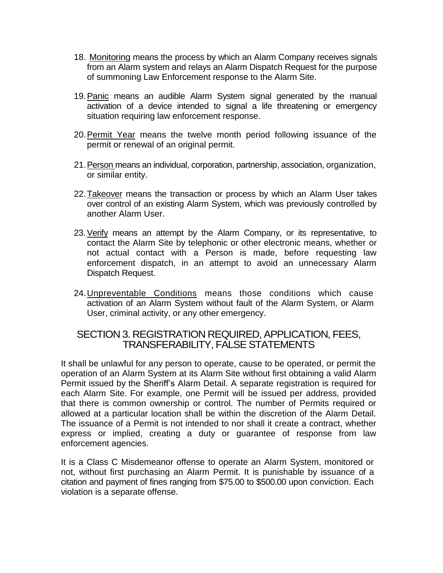- 18. Monitoring means the process by which an Alarm Company receives signals from an Alarm system and relays an Alarm Dispatch Request for the purpose of summoning Law Enforcement response to the Alarm Site.
- 19.Panic means an audible Alarm System signal generated by the manual activation of a device intended to signal a life threatening or emergency situation requiring law enforcement response.
- 20. Permit Year means the twelve month period following issuance of the permit or renewal of an original permit.
- 21.Person means an individual, corporation, partnership, association, organization, or similar entity.
- 22.Takeover means the transaction or process by which an Alarm User takes over control of an existing Alarm System, which was previously controlled by another Alarm User.
- 23. Verify means an attempt by the Alarm Company, or its representative, to contact the Alarm Site by telephonic or other electronic means, whether or not actual contact with a Person is made, before requesting law enforcement dispatch, in an attempt to avoid an unnecessary Alarm Dispatch Request.
- 24. Unpreventable Conditions means those conditions which cause activation of an Alarm System without fault of the Alarm System, or Alarm User, criminal activity, or any other emergency.

#### SECTION 3. REGISTRATION REQUIRED, APPLICATION, FEES, TRANSFERABILITY, FALSE STATEMENTS

It shall be unlawful for any person to operate, cause to be operated, or permit the operation of an Alarm System at its Alarm Site without first obtaining a valid Alarm Permit issued by the Sheriff's Alarm Detail. A separate registration is required for each Alarm Site. For example, one Permit will be issued per address, provided that there is common ownership or control. The number of Permits required or allowed at a particular location shall be within the discretion of the Alarm Detail. The issuance of a Permit is not intended to nor shall it create a contract, whether express or implied, creating a duty or guarantee of response from law enforcement agencies.

It is a Class C Misdemeanor offense to operate an Alarm System, monitored or not, without first purchasing an Alarm Permit. It is punishable by issuance of a citation and payment of fines ranging from \$75.00 to \$500.00 upon conviction. Each violation is a separate offense.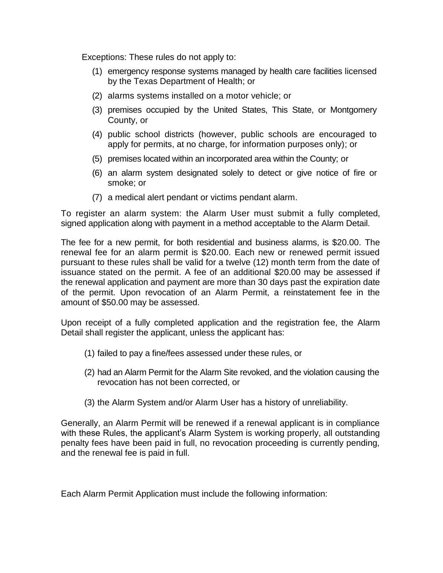Exceptions: These rules do not apply to:

- (1) emergency response systems managed by health care facilities licensed by the Texas Department of Health; or
- (2) alarms systems installed on a motor vehicle; or
- (3) premises occupied by the United States, This State, or Montgomery County, or
- (4) public school districts (however, public schools are encouraged to apply for permits, at no charge, for information purposes only); or
- (5) premises located within an incorporated area within the County; or
- (6) an alarm system designated solely to detect or give notice of fire or smoke; or
- (7) a medical alert pendant or victims pendant alarm.

To register an alarm system: the Alarm User must submit a fully completed, signed application along with payment in a method acceptable to the Alarm Detail.

The fee for a new permit, for both residential and business alarms, is \$20.00. The renewal fee for an alarm permit is \$20.00. Each new or renewed permit issued pursuant to these rules shall be valid for a twelve (12) month term from the date of issuance stated on the permit. A fee of an additional \$20.00 may be assessed if the renewal application and payment are more than 30 days past the expiration date of the permit. Upon revocation of an Alarm Permit, a reinstatement fee in the amount of \$50.00 may be assessed.

Upon receipt of a fully completed application and the registration fee, the Alarm Detail shall register the applicant, unless the applicant has:

- (1) failed to pay a fine/fees assessed under these rules, or
- (2) had an Alarm Permit for the Alarm Site revoked, and the violation causing the revocation has not been corrected, or
- (3) the Alarm System and/or Alarm User has a history of unreliability.

Generally, an Alarm Permit will be renewed if a renewal applicant is in compliance with these Rules, the applicant's Alarm System is working properly, all outstanding penalty fees have been paid in full, no revocation proceeding is currently pending, and the renewal fee is paid in full.

Each Alarm Permit Application must include the following information: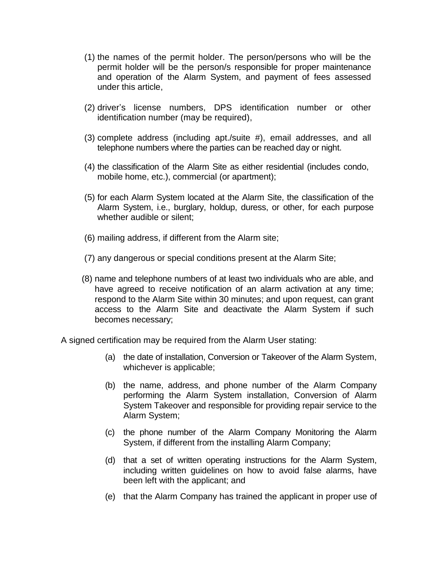- (1) the names of the permit holder. The person/persons who will be the permit holder will be the person/s responsible for proper maintenance and operation of the Alarm System, and payment of fees assessed under this article,
- (2) driver's license numbers, DPS identification number or other identification number (may be required),
- (3) complete address (including apt./suite #), email addresses, and all telephone numbers where the parties can be reached day or night.
- (4) the classification of the Alarm Site as either residential (includes condo, mobile home, etc.), commercial (or apartment);
- (5) for each Alarm System located at the Alarm Site, the classification of the Alarm System, i.e., burglary, holdup, duress, or other, for each purpose whether audible or silent;
- (6) mailing address, if different from the Alarm site;
- (7) any dangerous or special conditions present at the Alarm Site;
- (8) name and telephone numbers of at least two individuals who are able, and have agreed to receive notification of an alarm activation at any time; respond to the Alarm Site within 30 minutes; and upon request, can grant access to the Alarm Site and deactivate the Alarm System if such becomes necessary;

A signed certification may be required from the Alarm User stating:

- (a) the date of installation, Conversion or Takeover of the Alarm System, whichever is applicable;
- (b) the name, address, and phone number of the Alarm Company performing the Alarm System installation, Conversion of Alarm System Takeover and responsible for providing repair service to the Alarm System;
- (c) the phone number of the Alarm Company Monitoring the Alarm System, if different from the installing Alarm Company;
- (d) that a set of written operating instructions for the Alarm System, including written guidelines on how to avoid false alarms, have been left with the applicant; and
- (e) that the Alarm Company has trained the applicant in proper use of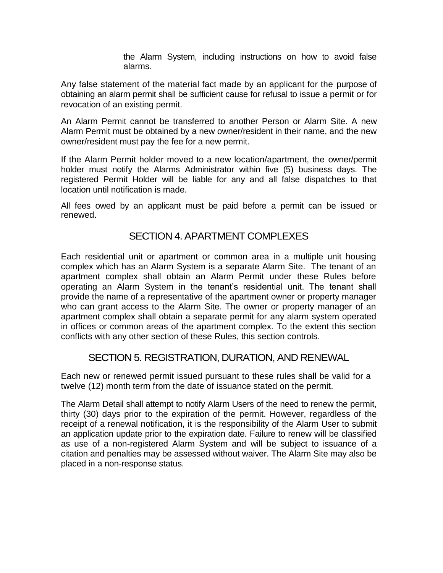the Alarm System, including instructions on how to avoid false alarms.

Any false statement of the material fact made by an applicant for the purpose of obtaining an alarm permit shall be sufficient cause for refusal to issue a permit or for revocation of an existing permit.

An Alarm Permit cannot be transferred to another Person or Alarm Site. A new Alarm Permit must be obtained by a new owner/resident in their name, and the new owner/resident must pay the fee for a new permit.

If the Alarm Permit holder moved to a new location/apartment, the owner/permit holder must notify the Alarms Administrator within five (5) business days. The registered Permit Holder will be liable for any and all false dispatches to that location until notification is made.

All fees owed by an applicant must be paid before a permit can be issued or renewed.

## SECTION 4. APARTMENT COMPLEXES

Each residential unit or apartment or common area in a multiple unit housing complex which has an Alarm System is a separate Alarm Site. The tenant of an apartment complex shall obtain an Alarm Permit under these Rules before operating an Alarm System in the tenant's residential unit. The tenant shall provide the name of a representative of the apartment owner or property manager who can grant access to the Alarm Site. The owner or property manager of an apartment complex shall obtain a separate permit for any alarm system operated in offices or common areas of the apartment complex. To the extent this section conflicts with any other section of these Rules, this section controls.

### SECTION 5. REGISTRATION, DURATION, AND RENEWAL

Each new or renewed permit issued pursuant to these rules shall be valid for a twelve (12) month term from the date of issuance stated on the permit.

The Alarm Detail shall attempt to notify Alarm Users of the need to renew the permit, thirty (30) days prior to the expiration of the permit. However, regardless of the receipt of a renewal notification, it is the responsibility of the Alarm User to submit an application update prior to the expiration date. Failure to renew will be classified as use of a non-registered Alarm System and will be subject to issuance of a citation and penalties may be assessed without waiver. The Alarm Site may also be placed in a non-response status.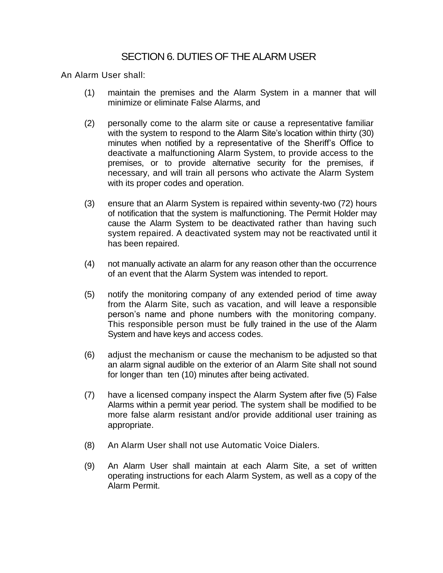# SECTION 6. DUTIES OF THE ALARM USER

An Alarm User shall:

- (1) maintain the premises and the Alarm System in a manner that will minimize or eliminate False Alarms, and
- (2) personally come to the alarm site or cause a representative familiar with the system to respond to the Alarm Site's location within thirty (30) minutes when notified by a representative of the Sheriff's Office to deactivate a malfunctioning Alarm System, to provide access to the premises, or to provide alternative security for the premises, if necessary, and will train all persons who activate the Alarm System with its proper codes and operation.
- (3) ensure that an Alarm System is repaired within seventy-two (72) hours of notification that the system is malfunctioning. The Permit Holder may cause the Alarm System to be deactivated rather than having such system repaired. A deactivated system may not be reactivated until it has been repaired.
- (4) not manually activate an alarm for any reason other than the occurrence of an event that the Alarm System was intended to report.
- (5) notify the monitoring company of any extended period of time away from the Alarm Site, such as vacation, and will leave a responsible person's name and phone numbers with the monitoring company. This responsible person must be fully trained in the use of the Alarm System and have keys and access codes.
- (6) adjust the mechanism or cause the mechanism to be adjusted so that an alarm signal audible on the exterior of an Alarm Site shall not sound for longer than ten (10) minutes after being activated.
- (7) have a licensed company inspect the Alarm System after five (5) False Alarms within a permit year period. The system shall be modified to be more false alarm resistant and/or provide additional user training as appropriate.
- (8) An Alarm User shall not use Automatic Voice Dialers.
- (9) An Alarm User shall maintain at each Alarm Site, a set of written operating instructions for each Alarm System, as well as a copy of the Alarm Permit.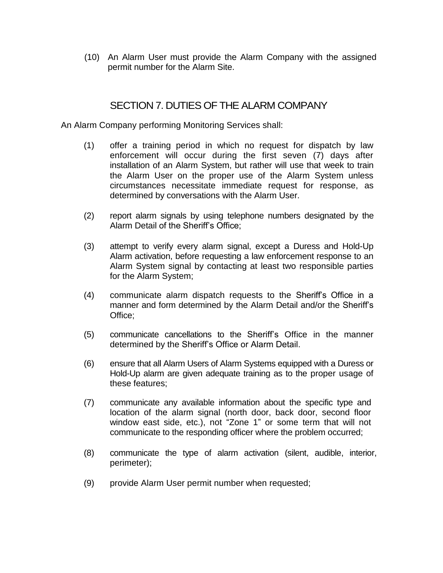(10) An Alarm User must provide the Alarm Company with the assigned permit number for the Alarm Site.

### SECTION 7. DUTIES OF THE ALARM COMPANY

An Alarm Company performing Monitoring Services shall:

- (1) offer a training period in which no request for dispatch by law enforcement will occur during the first seven (7) days after installation of an Alarm System, but rather will use that week to train the Alarm User on the proper use of the Alarm System unless circumstances necessitate immediate request for response, as determined by conversations with the Alarm User.
- (2) report alarm signals by using telephone numbers designated by the Alarm Detail of the Sheriff's Office;
- (3) attempt to verify every alarm signal, except a Duress and Hold-Up Alarm activation, before requesting a law enforcement response to an Alarm System signal by contacting at least two responsible parties for the Alarm System;
- (4) communicate alarm dispatch requests to the Sheriff's Office in a manner and form determined by the Alarm Detail and/or the Sheriff's Office;
- (5) communicate cancellations to the Sheriff's Office in the manner determined by the Sheriff's Office or Alarm Detail.
- (6) ensure that all Alarm Users of Alarm Systems equipped with a Duress or Hold-Up alarm are given adequate training as to the proper usage of these features;
- (7) communicate any available information about the specific type and location of the alarm signal (north door, back door, second floor window east side, etc.), not "Zone 1" or some term that will not communicate to the responding officer where the problem occurred;
- (8) communicate the type of alarm activation (silent, audible, interior, perimeter);
- (9) provide Alarm User permit number when requested;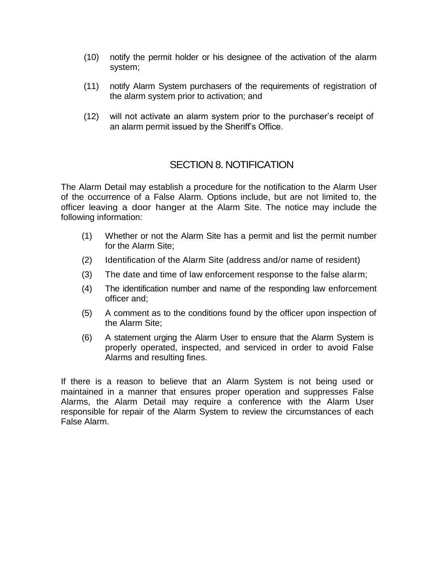- (10) notify the permit holder or his designee of the activation of the alarm system;
- (11) notify Alarm System purchasers of the requirements of registration of the alarm system prior to activation; and
- (12) will not activate an alarm system prior to the purchaser's receipt of an alarm permit issued by the Sheriff's Office.

## SECTION 8. NOTIFICATION

The Alarm Detail may establish a procedure for the notification to the Alarm User of the occurrence of a False Alarm. Options include, but are not limited to, the officer leaving a door hanger at the Alarm Site. The notice may include the following information:

- (1) Whether or not the Alarm Site has a permit and list the permit number for the Alarm Site;
- (2) Identification of the Alarm Site (address and/or name of resident)
- (3) The date and time of law enforcement response to the false alarm;
- (4) The identification number and name of the responding law enforcement officer and;
- (5) A comment as to the conditions found by the officer upon inspection of the Alarm Site;
- (6) A statement urging the Alarm User to ensure that the Alarm System is properly operated, inspected, and serviced in order to avoid False Alarms and resulting fines.

If there is a reason to believe that an Alarm System is not being used or maintained in a manner that ensures proper operation and suppresses False Alarms, the Alarm Detail may require a conference with the Alarm User responsible for repair of the Alarm System to review the circumstances of each False Alarm.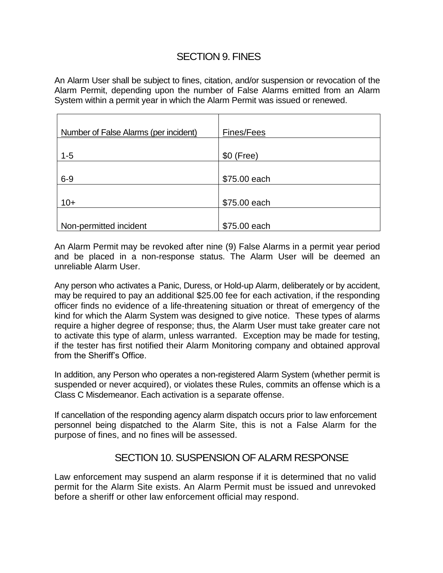# SECTION 9. FINES

An Alarm User shall be subject to fines, citation, and/or suspension or revocation of the Alarm Permit, depending upon the number of False Alarms emitted from an Alarm System within a permit year in which the Alarm Permit was issued or renewed.

| Number of False Alarms (per incident) | Fines/Fees   |
|---------------------------------------|--------------|
| $1 - 5$                               | $$0$ (Free)  |
| $6-9$                                 | \$75.00 each |
| $10+$                                 | \$75.00 each |
| Non-permitted incident                | \$75.00 each |

An Alarm Permit may be revoked after nine (9) False Alarms in a permit year period and be placed in a non-response status. The Alarm User will be deemed an unreliable Alarm User.

Any person who activates a Panic, Duress, or Hold-up Alarm, deliberately or by accident, may be required to pay an additional \$25.00 fee for each activation, if the responding officer finds no evidence of a life-threatening situation or threat of emergency of the kind for which the Alarm System was designed to give notice. These types of alarms require a higher degree of response; thus, the Alarm User must take greater care not to activate this type of alarm, unless warranted. Exception may be made for testing, if the tester has first notified their Alarm Monitoring company and obtained approval from the Sheriff's Office.

In addition, any Person who operates a non-registered Alarm System (whether permit is suspended or never acquired), or violates these Rules, commits an offense which is a Class C Misdemeanor. Each activation is a separate offense.

If cancellation of the responding agency alarm dispatch occurs prior to law enforcement personnel being dispatched to the Alarm Site, this is not a False Alarm for the purpose of fines, and no fines will be assessed.

### SECTION 10. SUSPENSION OF ALARM RESPONSE

Law enforcement may suspend an alarm response if it is determined that no valid permit for the Alarm Site exists. An Alarm Permit must be issued and unrevoked before a sheriff or other law enforcement official may respond.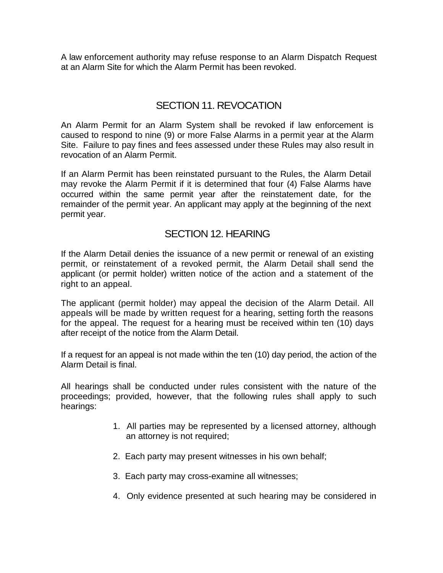A law enforcement authority may refuse response to an Alarm Dispatch Request at an Alarm Site for which the Alarm Permit has been revoked.

## SECTION 11. REVOCATION

An Alarm Permit for an Alarm System shall be revoked if law enforcement is caused to respond to nine (9) or more False Alarms in a permit year at the Alarm Site. Failure to pay fines and fees assessed under these Rules may also result in revocation of an Alarm Permit.

If an Alarm Permit has been reinstated pursuant to the Rules, the Alarm Detail may revoke the Alarm Permit if it is determined that four (4) False Alarms have occurred within the same permit year after the reinstatement date, for the remainder of the permit year. An applicant may apply at the beginning of the next permit year.

## SECTION 12. HEARING

If the Alarm Detail denies the issuance of a new permit or renewal of an existing permit, or reinstatement of a revoked permit, the Alarm Detail shall send the applicant (or permit holder) written notice of the action and a statement of the right to an appeal.

The applicant (permit holder) may appeal the decision of the Alarm Detail. All appeals will be made by written request for a hearing, setting forth the reasons for the appeal. The request for a hearing must be received within ten (10) days after receipt of the notice from the Alarm Detail.

If a request for an appeal is not made within the ten (10) day period, the action of the Alarm Detail is final.

All hearings shall be conducted under rules consistent with the nature of the proceedings; provided, however, that the following rules shall apply to such hearings:

- 1. All parties may be represented by a licensed attorney, although an attorney is not required;
- 2. Each party may present witnesses in his own behalf;
- 3. Each party may cross-examine all witnesses;
- 4. Only evidence presented at such hearing may be considered in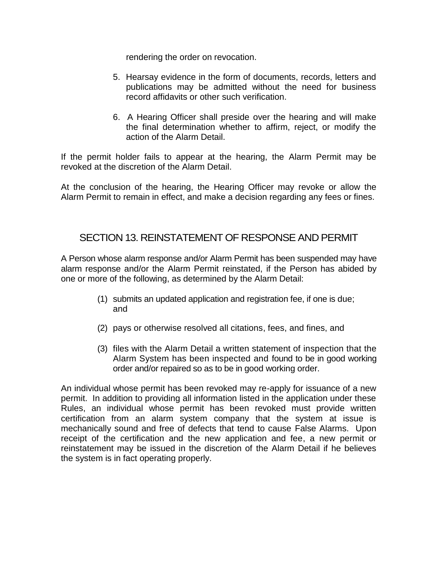rendering the order on revocation.

- 5. Hearsay evidence in the form of documents, records, letters and publications may be admitted without the need for business record affidavits or other such verification.
- 6. A Hearing Officer shall preside over the hearing and will make the final determination whether to affirm, reject, or modify the action of the Alarm Detail.

If the permit holder fails to appear at the hearing, the Alarm Permit may be revoked at the discretion of the Alarm Detail.

At the conclusion of the hearing, the Hearing Officer may revoke or allow the Alarm Permit to remain in effect, and make a decision regarding any fees or fines.

## SECTION 13. REINSTATEMENT OF RESPONSE AND PERMIT

A Person whose alarm response and/or Alarm Permit has been suspended may have alarm response and/or the Alarm Permit reinstated, if the Person has abided by one or more of the following, as determined by the Alarm Detail:

- (1) submits an updated application and registration fee, if one is due; and
- (2) pays or otherwise resolved all citations, fees, and fines, and
- (3) files with the Alarm Detail a written statement of inspection that the Alarm System has been inspected and found to be in good working order and/or repaired so as to be in good working order.

An individual whose permit has been revoked may re-apply for issuance of a new permit. In addition to providing all information listed in the application under these Rules, an individual whose permit has been revoked must provide written certification from an alarm system company that the system at issue is mechanically sound and free of defects that tend to cause False Alarms. Upon receipt of the certification and the new application and fee, a new permit or reinstatement may be issued in the discretion of the Alarm Detail if he believes the system is in fact operating properly.